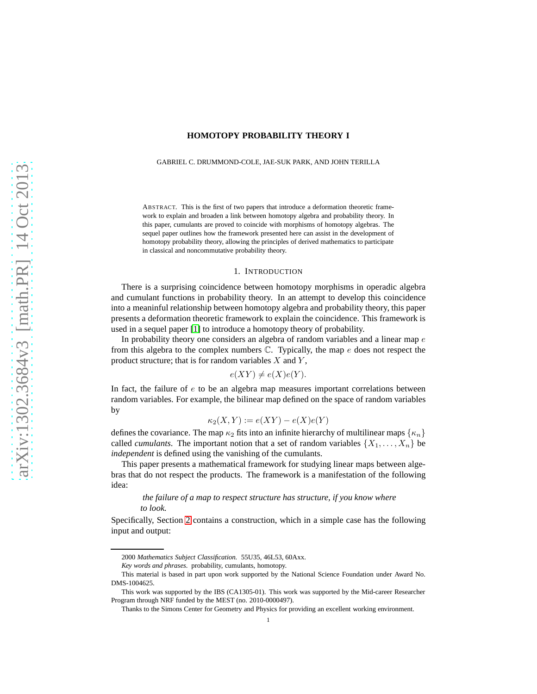## **HOMOTOPY PROBABILITY THEORY I**

GABRIEL C. DRUMMOND-COLE, JAE-SUK PARK, AND JOHN TERILLA

ABSTRACT. This is the first of two papers that introduce a deformation theoretic framework to explain and broaden a link between homotopy algebra and probability theory. In this paper, cumulants are proved to coincide with morphisms of homotopy algebras. The sequel paper outlines how the framework presented here can assist in the development of homotopy probability theory, allowing the principles of derived mathematics to participate in classical and noncommutative probability theory.

#### 1. INTRODUCTION

There is a surprising coincidence between homotopy morphisms in operadic algebra and cumulant functions in probability theory. In an attempt to develop this coincidence into a meaninful relationship between homotopy algebra and probability theory, this paper presents a deformation theoretic framework to explain the coincidence. This framework is used in a sequel paper [\[1\]](#page-8-0) to introduce a homotopy theory of probability.

In probability theory one considers an algebra of random variables and a linear map  $e$ from this algebra to the complex numbers  $\mathbb{C}$ . Typically, the map  $e$  does not respect the product structure; that is for random variables  $X$  and  $Y$ ,

$$
e(XY) \neq e(X)e(Y).
$$

In fact, the failure of  $e$  to be an algebra map measures important correlations between random variables. For example, the bilinear map defined on the space of random variables by

$$
\kappa_2(X, Y) := e(XY) - e(X)e(Y)
$$

defines the covariance. The map  $\kappa_2$  fits into an infinite hierarchy of multilinear maps  $\{\kappa_n\}$ called *cumulants*. The important notion that a set of random variables  $\{X_1, \ldots, X_n\}$  be *independent* is defined using the vanishing of the cumulants.

This paper presents a mathematical framework for studying linear maps between algebras that do not respect the products. The framework is a manifestation of the following idea:

# *the failure of a map to respect structure has structure, if you know where to look.*

Specifically, Section [2](#page-1-0) contains a construction, which in a simple case has the following input and output:

<sup>2000</sup> *Mathematics Subject Classification.* 55U35, 46L53, 60Axx.

*Key words and phrases.* probability, cumulants, homotopy.

This material is based in part upon work supported by the National Science Foundation under Award No. DMS-1004625.

This work was supported by the IBS (CA1305-01). This work was supported by the Mid-career Researcher Program through NRF funded by the MEST (no. 2010-0000497).

Thanks to the Simons Center for Geometry and Physics for providing an excellent working environment.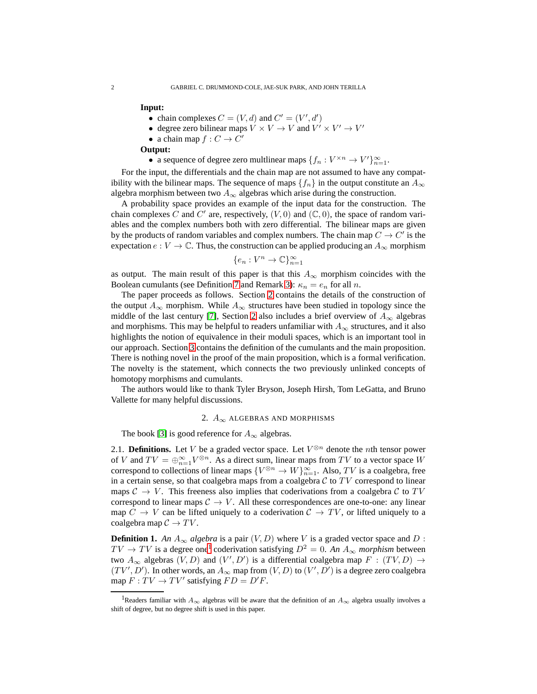#### **Input:**

- chain complexes  $C = (V, d)$  and  $C' = (V', d')$
- degree zero bilinear maps  $V \times V \to V$  and  $V' \times V' \to V'$
- a chain map  $f: C \to C'$

#### **Output:**

• a sequence of degree zero multilnear maps  $\{f_n : V^{\times n} \to V'\}_{n=1}^{\infty}$ .

For the input, the differentials and the chain map are not assumed to have any compatibility with the bilinear maps. The sequence of maps  ${f_n}$  in the output constitute an  $A_{\infty}$ algebra morphism between two  $A_{\infty}$  algebras which arise during the construction.

A probability space provides an example of the input data for the construction. The chain complexes C and C' are, respectively,  $(V, 0)$  and  $(\mathbb{C}, 0)$ , the space of random variables and the complex numbers both with zero differential. The bilinear maps are given by the products of random variables and complex numbers. The chain map  $C \to C'$  is the expectation  $e : V \to \mathbb{C}$ . Thus, the construction can be applied producing an  $A_{\infty}$  morphism

$$
\{e_n: V^n \to \mathbb{C}\}_{n=1}^{\infty}
$$

as output. The main result of this paper is that this  $A_{\infty}$  morphism coincides with the Boolean cumulants (see Definition [7](#page-5-0) and Remark [3\)](#page-5-1):  $\kappa_n = e_n$  for all n.

The paper proceeds as follows. Section [2](#page-1-0) contains the details of the construction of the output  $A_{\infty}$  morphism. While  $A_{\infty}$  structures have been studied in topology since the middle of the last century [\[7\]](#page-8-1), Section [2](#page-1-0) also includes a brief overview of  $A_{\infty}$  algebras and morphisms. This may be helpful to readers unfamiliar with  $A_{\infty}$  structures, and it also highlights the notion of equivalence in their moduli spaces, which is an important tool in our approach. Section [3](#page-5-2) contains the definition of the cumulants and the main proposition. There is nothing novel in the proof of the main proposition, which is a formal verification. The novelty is the statement, which connects the two previously unlinked concepts of homotopy morphisms and cumulants.

<span id="page-1-0"></span>The authors would like to thank Tyler Bryson, Joseph Hirsh, Tom LeGatta, and Bruno Vallette for many helpful discussions.

### 2.  $A_{\infty}$  ALGEBRAS AND MORPHISMS

The book [\[3\]](#page-8-2) is good reference for  $A_{\infty}$  algebras.

2.1. **Definitions.** Let V be a graded vector space. Let  $V^{\otimes n}$  denote the *n*th tensor power of V and  $TV = \bigoplus_{n=1}^{\infty} V^{\otimes n}$ . As a direct sum, linear maps from TV to a vector space W correspond to collections of linear maps  ${V^{\otimes n} \to W}_{n=1}^{\infty}$ . Also, TV is a coalgebra, free in a certain sense, so that coalgebra maps from a coalgebra  $C$  to  $TV$  correspond to linear maps  $C \to V$ . This freeness also implies that coderivations from a coalgebra C to TV correspond to linear maps  $C \rightarrow V$ . All these correspondences are one-to-one: any linear map  $C \to V$  can be lifted uniquely to a coderivation  $C \to TV$ , or lifted uniquely to a coalgebra map  $C \to TV$ .

**Definition 1.** An  $A_{\infty}$  algebra is a pair  $(V, D)$  where V is a graded vector space and D :  $TV \to TV$  is a degree one<sup>[1](#page-1-1)</sup> coderivation satisfying  $D^2 = 0$ . An  $A_{\infty}$  *morphism* between two  $A_{\infty}$  algebras  $(V, D)$  and  $(V', D')$  is a differential coalgebra map  $F : (TV, D) \rightarrow$  $(TV', D')$ . In other words, an  $A_{\infty}$  map from  $(V, D)$  to  $(V', D')$  is a degree zero coalgebra map  $F: TV \rightarrow TV'$  satisfying  $FD = D'F$ .

<span id="page-1-1"></span><sup>&</sup>lt;sup>1</sup>Readers familiar with  $A_{\infty}$  algebras will be aware that the definition of an  $A_{\infty}$  algebra usually involves a shift of degree, but no degree shift is used in this paper.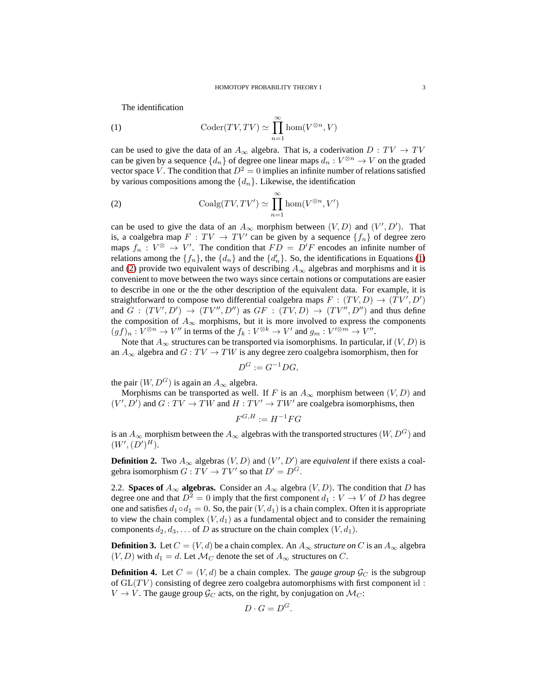<span id="page-2-0"></span>The identification

(1) 
$$
\operatorname{Coder}(TV, TV) \simeq \prod_{n=1}^{\infty} \hom(V^{\otimes n}, V)
$$

can be used to give the data of an  $A_{\infty}$  algebra. That is, a coderivation  $D: TV \rightarrow TV$ can be given by a sequence  $\{d_n\}$  of degree one linear maps  $d_n: V^{\otimes n} \to V$  on the graded vector space V. The condition that  $D^2 = 0$  implies an infinite number of relations satisfied by various compositions among the  $\{d_n\}$ . Likewise, the identification

<span id="page-2-1"></span>(2) 
$$
\mathrm{Coalg}(TV, TV') \simeq \prod_{n=1}^{\infty} \mathrm{hom}(V^{\otimes n}, V')
$$

can be used to give the data of an  $A_{\infty}$  morphism between  $(V, D)$  and  $(V', D')$ . That is, a coalgebra map  $F: TV \to TV'$  can be given by a sequence  $\{f_n\}$  of degree zero maps  $f_n: V^{\otimes} \to V'$ . The condition that  $FD = D'F$  encodes an infinite number of relations among the  $\{f_n\}$ , the  $\{d_n\}$  and the  $\{d_n'\}$ . So, the identifications in Equations [\(1\)](#page-2-0) and [\(2\)](#page-2-1) provide two equivalent ways of describing  $A_{\infty}$  algebras and morphisms and it is convenient to move between the two ways since certain notions or computations are easier to describe in one or the the other description of the equivalent data. For example, it is straightforward to compose two differential coalgebra maps  $F : (TV, D) \rightarrow (TV', D')$ and  $G : (TV', D') \rightarrow (TV'', D'')$  as  $GF : (TV, D) \rightarrow (TV'', D'')$  and thus define the composition of  $A_{\infty}$  morphisms, but it is more involved to express the components  $(gf)_n: V^{\otimes n} \to V''$  in terms of the  $f_k: V^{\otimes k} \to V'$  and  $g_m: V'^{\otimes m} \to V''$ .

Note that  $A_{\infty}$  structures can be transported via isomorphisms. In particular, if  $(V, D)$  is an  $A_{\infty}$  algebra and  $G: TV \rightarrow TW$  is any degree zero coalgebra isomorphism, then for

$$
D^G := G^{-1}DG,
$$

the pair  $(W, D^G)$  is again an  $A_{\infty}$  algebra.

Morphisms can be transported as well. If F is an  $A_{\infty}$  morphism between  $(V, D)$  and  $(V', D')$  and  $G: TV \rightarrow TW$  and  $H: TV' \rightarrow TW'$  are coalgebra isomorphisms, then

$$
F^{G,H}:=H^{-1}FG
$$

is an  $A_{\infty}$  morphism between the  $A_{\infty}$  algebras with the transported structures  $(W, D^G)$  and  $(W', (D')^H)$ .

**Definition 2.** Two  $A_{\infty}$  algebras  $(V, D)$  and  $(V', D')$  are *equivalent* if there exists a coalgebra isomorphism  $G: TV \to TV'$  so that  $D' = D^G$ .

2.2. **Spaces of**  $A_{\infty}$  **algebras.** Consider an  $A_{\infty}$  algebra  $(V, D)$ . The condition that D has degree one and that  $D^2 = 0$  imply that the first component  $d_1 : V \to V$  of D has degree one and satisfies  $d_1 \circ d_1 = 0$ . So, the pair  $(V, d_1)$  is a chain complex. Often it is appropriate to view the chain complex  $(V, d_1)$  as a fundamental object and to consider the remaining components  $d_2, d_3, \ldots$  of D as structure on the chain complex  $(V, d_1)$ .

**Definition 3.** Let  $C = (V, d)$  be a chain complex. An  $A_{\infty}$  *structure on* C is an  $A_{\infty}$  algebra  $(V, D)$  with  $d_1 = d$ . Let  $\mathcal{M}_C$  denote the set of  $A_\infty$  structures on C.

<span id="page-2-2"></span>**Definition 4.** Let  $C = (V, d)$  be a chain complex. The *gauge group*  $\mathcal{G}_C$  is the subgroup of  $GL(TV)$  consisting of degree zero coalgebra automorphisms with first component id:  $V \rightarrow V$ . The gauge group  $\mathcal{G}_C$  acts, on the right, by conjugation on  $\mathcal{M}_C$ :

$$
D\cdot G=D^G.
$$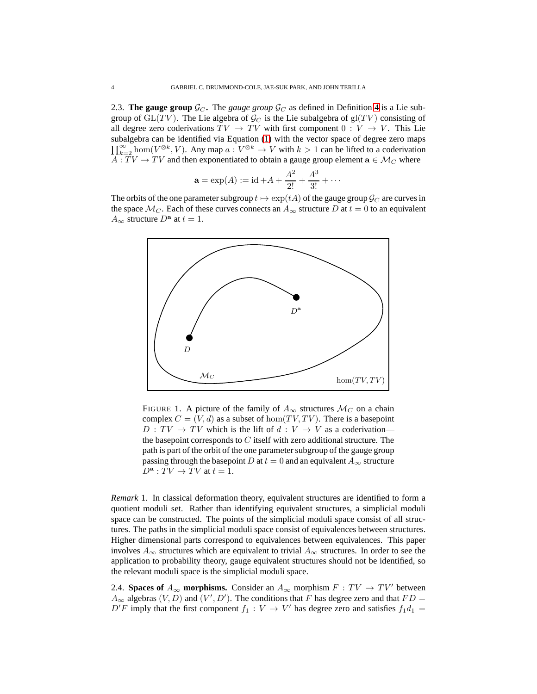<span id="page-3-0"></span>2.3. **The gauge group**  $\mathcal{G}_C$ . The *gauge group*  $\mathcal{G}_C$  as defined in Definition [4](#page-2-2) is a Lie subgroup of  $GL(TV)$ . The Lie algebra of  $\mathcal{G}_C$  is the Lie subalgebra of  $gl(TV)$  consisting of all degree zero coderivations  $TV \to TV$  with first component  $0: V \to V$ . This Lie subalgebra can be identified via Equation [\(1\)](#page-2-0) with the vector space of degree zero maps  $\prod_{k=2}^{\infty}$  hom $(V^{\otimes k}, V)$ . Any map  $a: V^{\otimes k} \to V$  with  $k > 1$  can be lifted to a coderivation  $\overline{A}$  :  $\overline{T}V \to \overline{T}V$  and then exponentiated to obtain a gauge group element  $\mathbf{a} \in \mathcal{M}_C$  where

$$
\mathbf{a} = \exp(A) := \mathrm{id} + A + \frac{A^2}{2!} + \frac{A^3}{3!} + \cdots
$$

The orbits of the one parameter subgroup  $t \mapsto \exp(tA)$  of the gauge group  $\mathcal{G}_C$  are curves in the space  $\mathcal{M}_C$ . Each of these curves connects an  $A_\infty$  structure D at  $t = 0$  to an equivalent  $A_{\infty}$  structure  $D^{\mathbf{a}}$  at  $t = 1$ .



FIGURE 1. A picture of the family of  $A_{\infty}$  structures  $\mathcal{M}_C$  on a chain complex  $C = (V, d)$  as a subset of hom $(TV, TV)$ . There is a basepoint  $D: TV \rightarrow TV$  which is the lift of  $d: V \rightarrow V$  as a coderivation the basepoint corresponds to  $C$  itself with zero additional structure. The path is part of the orbit of the one parameter subgroup of the gauge group passing through the basepoint D at  $t = 0$  and an equivalent  $A_{\infty}$  structure  $D^{\mathbf{a}}: TV \to TV$  at  $t = 1$ .

*Remark* 1*.* In classical deformation theory, equivalent structures are identified to form a quotient moduli set. Rather than identifying equivalent structures, a simplicial moduli space can be constructed. The points of the simplicial moduli space consist of all structures. The paths in the simplicial moduli space consist of equivalences between structures. Higher dimensional parts correspond to equivalences between equivalences. This paper involves  $A_{\infty}$  structures which are equivalent to trivial  $A_{\infty}$  structures. In order to see the application to probability theory, gauge equivalent structures should not be identified, so the relevant moduli space is the simplicial moduli space.

2.4. **Spaces of**  $A_{\infty}$  **morphisms.** Consider an  $A_{\infty}$  morphism  $F : TV \rightarrow TV'$  between  $A_{\infty}$  algebras  $(V, D)$  and  $(V', D')$ . The conditions that F has degree zero and that  $FD =$  $D'F$  imply that the first component  $f_1: V \to V'$  has degree zero and satisfies  $f_1d_1 =$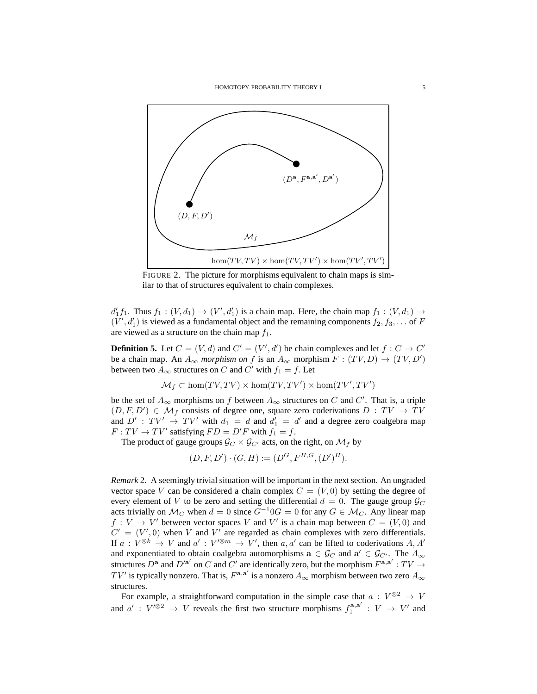

FIGURE 2. The picture for morphisms equivalent to chain maps is similar to that of structures equivalent to chain complexes.

 $d'_1 f_1$ . Thus  $f_1 : (V, d_1) \to (V', d'_1)$  is a chain map. Here, the chain map  $f_1 : (V, d_1) \to$  $(V', d'_1)$  is viewed as a fundamental object and the remaining components  $f_2, f_3, \ldots$  of F are viewed as a structure on the chain map  $f_1$ .

**Definition 5.** Let  $C = (V, d)$  and  $C' = (V', d')$  be chain complexes and let  $f : C \to C'$ be a chain map. An  $A_{\infty}$  *morphism on* f is an  $A_{\infty}$  morphism  $F : (TV, D) \rightarrow (TV, D')$ between two  $A_{\infty}$  structures on C and C' with  $f_1 = f$ . Let

$$
\mathcal{M}_f \subset \hom(TV, TV) \times \hom(TV, TV') \times \hom(TV', TV')
$$

be the set of  $A_{\infty}$  morphisms on f between  $A_{\infty}$  structures on C and C'. That is, a triple  $(D, F, D') \in \mathcal{M}_f$  consists of degree one, square zero coderivations  $D: TV \rightarrow TV$ and  $D'$ :  $TV' \rightarrow TV'$  with  $d_1 = d$  and  $d'_1 = d'$  and a degree zero coalgebra map  $F: TV \rightarrow TV'$  satisfying  $FD = D'F$  with  $f_1 = f$ .

The product of gauge groups  $\mathcal{G}_{C} \times \mathcal{G}_{C'}$  acts, on the right, on  $\mathcal{M}_f$  by

$$
(D, F, D') \cdot (G, H) := (D^G, F^{H, G}, (D')^H).
$$

*Remark* 2*.* A seemingly trivial situation will be important in the next section. An ungraded vector space V can be considered a chain complex  $C = (V, 0)$  by setting the degree of every element of V to be zero and setting the differential  $d = 0$ . The gauge group  $\mathcal{G}_C$ acts trivially on  $\mathcal{M}_C$  when  $d = 0$  since  $G^{-1}0G = 0$  for any  $G \in \mathcal{M}_C$ . Any linear map  $f: V \to V'$  between vector spaces V and V' is a chain map between  $C = (V, 0)$  and  $C' = (V', 0)$  when V and V' are regarded as chain complexes with zero differentials. If  $a: V^{\otimes k} \to V$  and  $a': V^{\otimes m} \to V'$ , then  $a, a'$  can be lifted to coderivations A, A' and exponentiated to obtain coalgebra automorphisms  $\mathbf{a} \in \mathcal{G}_C$  and  $\mathbf{a}' \in \mathcal{G}_{C'}$ . The  $A_{\infty}$ structures  $D^{\mathbf{a}}$  and  $D'^{\mathbf{a}'}$  on C and C' are identically zero, but the morphism  $F^{\mathbf{a},\mathbf{a}'} : TV \rightarrow$  $TV'$  is typically nonzero. That is,  $F^{{\bf a},{\bf a}'}$  is a nonzero  $A_\infty$  morphism between two zero  $A_\infty$ structures.

For example, a straightforward computation in the simple case that  $a: V^{\otimes 2} \to V$ and  $a' : V'^{\otimes 2} \to V$  reveals the first two structure morphisms  $f_1^{\mathbf{a}, \mathbf{a}'}$  $i^{\mathbf{a},\mathbf{a}'}$  :  $V \rightarrow V'$  and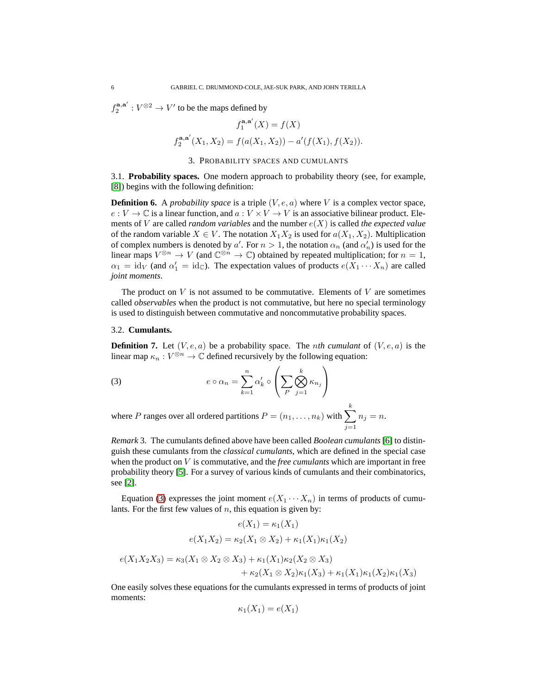$f_2^{{\bf a}, {\bf a}'}$  $2^{(a,a')} : V^{\otimes 2} \to V'$  to be the maps defined by

$$
f_1^{\mathbf{a},\mathbf{a}'}(X) = f(X)
$$
  

$$
f_2^{\mathbf{a},\mathbf{a}'}(X_1,X_2) = f(a(X_1,X_2)) - a'(f(X_1),f(X_2)).
$$

#### 3. PROBABILITY SPACES AND CUMULANTS

<span id="page-5-2"></span>3.1. **Probability spaces.** One modern approach to probability theory (see, for example, [\[8\]](#page-8-3)) begins with the following definition:

**Definition 6.** A *probability space* is a triple  $(V, e, a)$  where V is a complex vector space,  $e: V \to \mathbb{C}$  is a linear function, and  $a: V \times V \to V$  is an associative bilinear product. Elements of V are called *random variables* and the number e(X) is called *the expected value* of the random variable  $X \in V$ . The notation  $X_1 X_2$  is used for  $a(X_1, X_2)$ . Multiplication of complex numbers is denoted by a'. For  $n > 1$ , the notation  $\alpha_n$  (and  $\alpha'_n$ ) is used for the linear maps  $V^{\otimes n} \to V$  (and  $\mathbb{C}^{\otimes n} \to \mathbb{C}$ ) obtained by repeated multiplication; for  $n = 1$ ,  $\alpha_1 = \text{id}_V$  (and  $\alpha'_1 = \text{id}_\mathbb{C}$ ). The expectation values of products  $e(X_1 \cdots X_n)$  are called *joint moments*.

The product on  $V$  is not assumed to be commutative. Elements of  $V$  are sometimes called *observables* when the product is not commutative, but here no special terminology is used to distinguish between commutative and noncommutative probability spaces.

#### 3.2. **Cumulants.**

<span id="page-5-0"></span>**Definition 7.** Let  $(V, e, a)$  be a probability space. The *nth cumulant* of  $(V, e, a)$  is the linear map  $\kappa_n : V^{\otimes n} \to \mathbb{C}$  defined recursively by the following equation:

<span id="page-5-3"></span>(3) 
$$
e \circ \alpha_n = \sum_{k=1}^n \alpha'_k \circ \left( \sum_P \bigotimes_{j=1}^k \kappa_{n_j} \right)
$$

where P ranges over all ordered partitions  $P = (n_1, \ldots, n_k)$  with  $\sum$ k  $j=1$  $n_j = n$ .

<span id="page-5-1"></span>*Remark* 3*.* The cumulants defined above have been called *Boolean cumulants*[\[6\]](#page-8-4) to distinguish these cumulants from the *classical cumulants*, which are defined in the special case when the product on V is commutative, and the *free cumulants* which are important in free probability theory [\[5\]](#page-8-5). For a survey of various kinds of cumulants and their combinatorics, see [\[2\]](#page-8-6).

Equation [\(3\)](#page-5-3) expresses the joint moment  $e(X_1 \cdots X_n)$  in terms of products of cumulants. For the first few values of  $n$ , this equation is given by:

$$
e(X_1) = \kappa_1(X_1)
$$
  
\n
$$
e(X_1X_2) = \kappa_2(X_1 \otimes X_2) + \kappa_1(X_1)\kappa_1(X_2)
$$
  
\n
$$
e(X_1X_2X_3) = \kappa_3(X_1 \otimes X_2 \otimes X_3) + \kappa_1(X_1)\kappa_2(X_2 \otimes X_3)
$$
  
\n
$$
+ \kappa_2(X_1 \otimes X_2)\kappa_1(X_3) + \kappa_1(X_1)\kappa_1(X_2)\kappa_1(X_3)
$$

One easily solves these equations for the cumulants expressed in terms of products of joint moments:

$$
\kappa_1(X_1) = e(X_1)
$$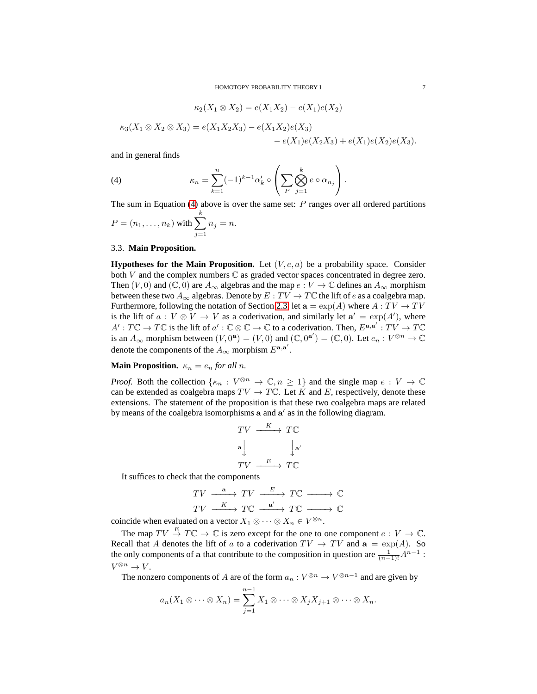<span id="page-6-0"></span> $\kappa_2(X_1 \otimes X_2) = e(X_1X_2) - e(X_1)e(X_2)$ 

$$
\kappa_3(X_1 \otimes X_2 \otimes X_3) = e(X_1 X_2 X_3) - e(X_1 X_2)e(X_3) - e(X_1)e(X_2 X_3) + e(X_1)e(X_2)e(X_3).
$$

and in general finds

(4) 
$$
\kappa_n = \sum_{k=1}^n (-1)^{k-1} \alpha'_k \circ \left( \sum_P \bigotimes_{j=1}^k e \circ \alpha_{n_j} \right).
$$

The sum in Equation [\(4\)](#page-6-0) above is over the same set:  $P$  ranges over all ordered partitions

$$
P = (n_1, ..., n_k)
$$
 with  $\sum_{j=1}^{k} n_j = n$ .

## 3.3. **Main Proposition.**

**Hypotheses for the Main Proposition.** Let  $(V, e, a)$  be a probability space. Consider both  $V$  and the complex numbers  $\mathbb C$  as graded vector spaces concentrated in degree zero. Then  $(V, 0)$  and  $(\mathbb{C}, 0)$  are  $A_{\infty}$  algebras and the map  $e : V \to \mathbb{C}$  defines an  $A_{\infty}$  morphism between these two  $A_\infty$  algebras. Denote by  $E: TV \to T\mathbb{C}$  the lift of  $e$  as a coalgebra map. Furthermore, following the notation of Section [2.3,](#page-3-0) let  $\mathbf{a} = \exp(A)$  where  $A: TV \to TV$ is the lift of  $a: V \otimes V \to V$  as a coderivation, and similarly let  $a' = \exp(A')$ , where  $A': T\mathbb{C} \to T\mathbb{C}$  is the lift of  $a': \mathbb{C} \otimes \mathbb{C} \to \mathbb{C}$  to a coderivation. Then,  $E^{\mathbf{a},\mathbf{a}'}: TY \to T\mathbb{C}$ is an  $A_{\infty}$  morphism between  $(V, 0^a) = (V, 0)$  and  $(\mathbb{C}, 0^{a'}) = (\mathbb{C}, 0)$ . Let  $e_n : V^{\otimes n} \to \mathbb{C}$ denote the components of the  $A_{\infty}$  morphism  $E^{{\bf a},{\bf a}'}$ .

# **Main Proposition.**  $\kappa_n = e_n$  *for all n.*

*Proof.* Both the collection  $\{\kappa_n : V^{\otimes n} \to \mathbb{C}, n \geq 1\}$  and the single map  $e : V \to \mathbb{C}$ can be extended as coalgebra maps  $TV \to T\mathbb{C}$ . Let K and E, respectively, denote these extensions. The statement of the proposition is that these two coalgebra maps are related by means of the coalgebra isomorphisms  $a$  and  $a'$  as in the following diagram.

$$
TV \xrightarrow{K} TC
$$
  

$$
^{a} \downarrow \qquad \qquad \downarrow^{a'}
$$
  

$$
TV \xrightarrow{E} TC
$$

It suffices to check that the components

$$
\begin{array}{ccc}\nTV & \xrightarrow{\mathbf{a}} & TV & \xrightarrow{E} & TC \xrightarrow{\longrightarrow} \mathbb{C} \\
TV & \xrightarrow{K} & TC & \xrightarrow{\mathbf{a}'} & TC \xrightarrow{\longrightarrow} \mathbb{C}\n\end{array}
$$

coincide when evaluated on a vector  $X_1 \otimes \cdots \otimes X_n \in V^{\otimes n}$ .

The map  $TV \stackrel{E}{\to} T\mathbb{C} \to \mathbb{C}$  is zero except for the one to one component  $e: V \to \mathbb{C}$ . Recall that A denotes the lift of a to a coderivation  $TV \rightarrow TV$  and  $\mathbf{a} = \exp(A)$ . So the only components of a that contribute to the composition in question are  $\frac{1}{(n-1)!}A^{n-1}$ :  $V^{\otimes n} \to V$ .

The nonzero components of A are of the form  $a_n: V^{\otimes n} \to V^{\otimes n-1}$  and are given by

$$
a_n(X_1 \otimes \cdots \otimes X_n) = \sum_{j=1}^{n-1} X_1 \otimes \cdots \otimes X_j X_{j+1} \otimes \cdots \otimes X_n.
$$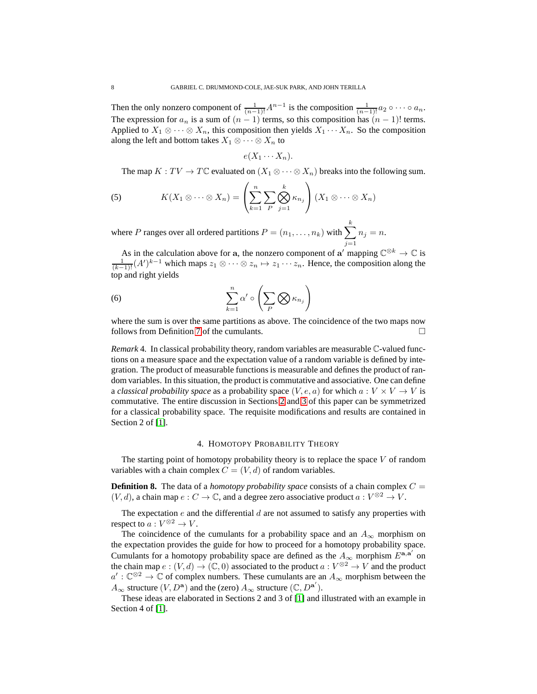Then the only nonzero component of  $\frac{1}{(n-1)!}A^{n-1}$  is the composition  $\frac{1}{(n-1)!}a_2 \circ \cdots \circ a_n$ . The expression for  $a_n$  is a sum of  $(n - 1)$  terms, so this composition has  $(n - 1)!$  terms. Applied to  $X_1 \otimes \cdots \otimes X_n$ , this composition then yields  $X_1 \cdots X_n$ . So the composition along the left and bottom takes  $X_1 \otimes \cdots \otimes X_n$  to

$$
e(X_1\cdots X_n).
$$

The map  $K: TV \to TC$  evaluated on  $(X_1 \otimes \cdots \otimes X_n)$  breaks into the following sum.

(5) 
$$
K(X_1 \otimes \cdots \otimes X_n) = \left(\sum_{k=1}^n \sum_{P} \bigotimes_{j=1}^k \kappa_{n_j}\right) (X_1 \otimes \cdots \otimes X_n)
$$

where P ranges over all ordered partitions  $P = (n_1, \ldots, n_k)$  with  $\sum$ k  $j=1$  $n_j = n$ .

As in the calculation above for a, the nonzero component of a' mapping  $\mathbb{C}^{\otimes k} \to \mathbb{C}$  is  $\frac{1}{(k-1)!}(A')^{k-1}$  which maps  $z_1 \otimes \cdots \otimes z_n \mapsto z_1 \cdots z_n$ . Hence, the composition along the top and right yields

(6) 
$$
\sum_{k=1}^{n} \alpha' \circ \left(\sum_{P} \bigotimes \kappa_{n_j}\right)
$$

where the sum is over the same partitions as above. The coincidence of the two maps now follows from Definition [7](#page-5-0) of the cumulants.

*Remark* 4. In classical probability theory, random variables are measurable C-valued functions on a measure space and the expectation value of a random variable is defined by integration. The product of measurable functions is measurable and defines the product of random variables. In this situation, the product is commutative and associative. One can define a *classical probability space* as a probability space  $(V, e, a)$  for which  $a: V \times V \rightarrow V$  is commutative. The entire discussion in Sections [2](#page-1-0) and [3](#page-5-2) of this paper can be symmetrized for a classical probability space. The requisite modifications and results are contained in Section 2 of [\[1\]](#page-8-0).

## 4. HOMOTOPY PROBABILITY THEORY

The starting point of homotopy probability theory is to replace the space  $V$  of random variables with a chain complex  $C = (V, d)$  of random variables.

**Definition 8.** The data of a *homotopy probability space* consists of a chain complex  $C =$  $(V, d)$ , a chain map  $e: C \to \mathbb{C}$ , and a degree zero associative product  $a: V^{\otimes 2} \to V$ .

The expectation e and the differential d are not assumed to satisfy any properties with respect to  $a: V^{\otimes 2} \to V$ .

The coincidence of the cumulants for a probability space and an  $A_{\infty}$  morphism on the expectation provides the guide for how to proceed for a homotopy probability space. Cumulants for a homotopy probability space are defined as the  $A_{\infty}$  morphism  $E^{{\bf a}, {\bf a}'}$  on the chain map  $e: (V, d) \to (\mathbb{C}, 0)$  associated to the product  $a: V^{\otimes 2} \to V$  and the product  $a': \mathbb{C}^{\otimes 2} \to \mathbb{C}$  of complex numbers. These cumulants are an  $A_{\infty}$  morphism between the  $A_{\infty}$  structure  $(V, D^{\mathbf{a}})$  and the (zero)  $A_{\infty}$  structure  $(\mathbb{C}, D^{\mathbf{a}'})$ .

These ideas are elaborated in Sections 2 and 3 of [\[1\]](#page-8-0) and illustrated with an example in Section 4 of [\[1\]](#page-8-0).